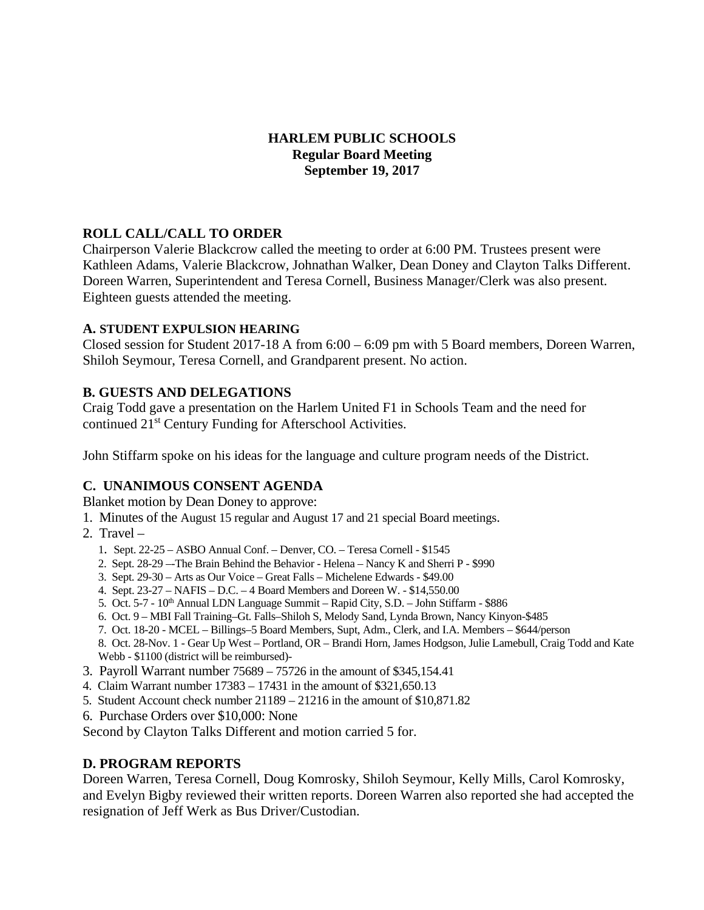# **HARLEM PUBLIC SCHOOLS Regular Board Meeting September 19, 2017**

# **ROLL CALL/CALL TO ORDER**

Chairperson Valerie Blackcrow called the meeting to order at 6:00 PM. Trustees present were Kathleen Adams, Valerie Blackcrow, Johnathan Walker, Dean Doney and Clayton Talks Different. Doreen Warren, Superintendent and Teresa Cornell, Business Manager/Clerk was also present. Eighteen guests attended the meeting.

# **A. STUDENT EXPULSION HEARING**

Closed session for Student 2017-18 A from 6:00 – 6:09 pm with 5 Board members, Doreen Warren, Shiloh Seymour, Teresa Cornell, and Grandparent present. No action.

# **B. GUESTS AND DELEGATIONS**

Craig Todd gave a presentation on the Harlem United F1 in Schools Team and the need for continued 21st Century Funding for Afterschool Activities.

John Stiffarm spoke on his ideas for the language and culture program needs of the District.

# **C. UNANIMOUS CONSENT AGENDA**

Blanket motion by Dean Doney to approve:

- 1. Minutes of the August 15 regular and August 17 and 21 special Board meetings.
- 2. Travel
	- 1. Sept. 22-25 ASBO Annual Conf. Denver, CO. Teresa Cornell \$1545
	- 2. Sept. 28-29 –-The Brain Behind the Behavior Helena Nancy K and Sherri P \$990
	- 3. Sept. 29-30 Arts as Our Voice Great Falls Michelene Edwards \$49.00
	- 4. Sept. 23-27 NAFIS D.C. 4 Board Members and Doreen W. \$14,550.00
	- 5. Oct. 5-7 10th Annual LDN Language Summit Rapid City, S.D. John Stiffarm \$886
	- 6. Oct. 9 MBI Fall Training–Gt. Falls–Shiloh S, Melody Sand, Lynda Brown, Nancy Kinyon-\$485
	- 7. Oct. 18-20 MCEL Billings–5 Board Members, Supt, Adm., Clerk, and I.A. Members \$644/person 8. Oct. 28-Nov. 1 - Gear Up West – Portland, OR – Brandi Horn, James Hodgson, Julie Lamebull, Craig Todd and Kate Webb - \$1100 (district will be reimbursed)-
- 
- 3. Payroll Warrant number 75689 75726 in the amount of \$345,154.41
- 4. Claim Warrant number 17383 17431 in the amount of \$321,650.13
- 5. Student Account check number 21189 21216 in the amount of \$10,871.82
- 6. Purchase Orders over \$10,000: None

Second by Clayton Talks Different and motion carried 5 for.

# **D. PROGRAM REPORTS**

Doreen Warren, Teresa Cornell, Doug Komrosky, Shiloh Seymour, Kelly Mills, Carol Komrosky, and Evelyn Bigby reviewed their written reports. Doreen Warren also reported she had accepted the resignation of Jeff Werk as Bus Driver/Custodian.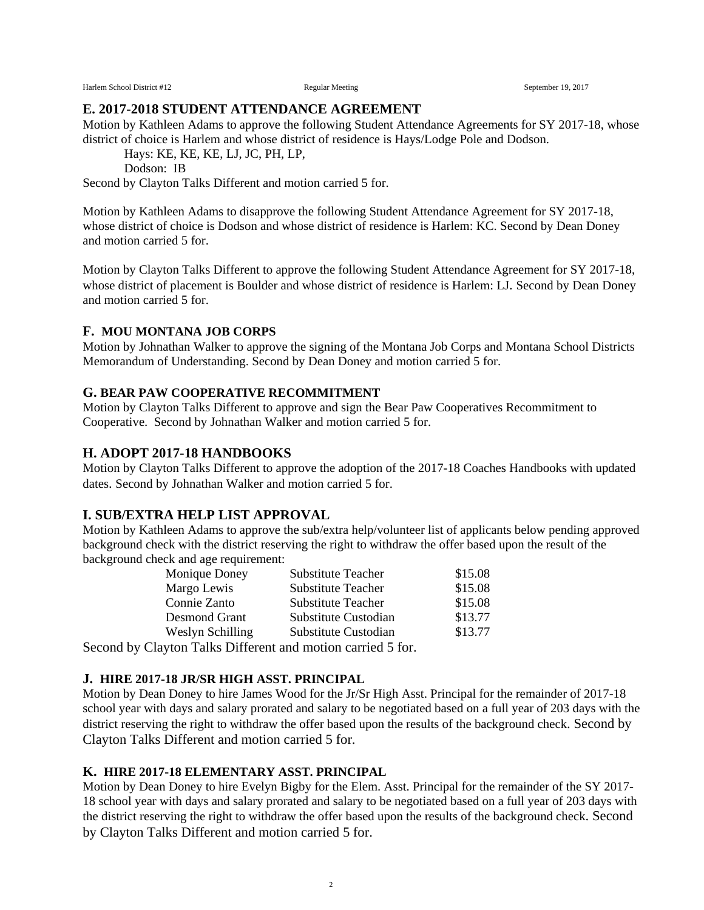Harlem School District #12 Regular Meeting Regular Meeting September 19, 2017

#### **E. 2017-2018 STUDENT ATTENDANCE AGREEMENT**

Motion by Kathleen Adams to approve the following Student Attendance Agreements for SY 2017-18, whose district of choice is Harlem and whose district of residence is Hays/Lodge Pole and Dodson.

Hays: KE, KE, KE, LJ, JC, PH, LP,

Dodson: IB

Second by Clayton Talks Different and motion carried 5 for.

Motion by Kathleen Adams to disapprove the following Student Attendance Agreement for SY 2017-18, whose district of choice is Dodson and whose district of residence is Harlem: KC. Second by Dean Doney and motion carried 5 for.

Motion by Clayton Talks Different to approve the following Student Attendance Agreement for SY 2017-18, whose district of placement is Boulder and whose district of residence is Harlem: LJ. Second by Dean Doney and motion carried 5 for.

#### **F. MOU MONTANA JOB CORPS**

Motion by Johnathan Walker to approve the signing of the Montana Job Corps and Montana School Districts Memorandum of Understanding. Second by Dean Doney and motion carried 5 for.

## **G. BEAR PAW COOPERATIVE RECOMMITMENT**

Motion by Clayton Talks Different to approve and sign the Bear Paw Cooperatives Recommitment to Cooperative. Second by Johnathan Walker and motion carried 5 for.

## **H. ADOPT 2017-18 HANDBOOKS**

Motion by Clayton Talks Different to approve the adoption of the 2017-18 Coaches Handbooks with updated dates. Second by Johnathan Walker and motion carried 5 for.

## **I. SUB/EXTRA HELP LIST APPROVAL**

Motion by Kathleen Adams to approve the sub/extra help/volunteer list of applicants below pending approved background check with the district reserving the right to withdraw the offer based upon the result of the background check and age requirement:

| Monique Doney    | <b>Substitute Teacher</b>                        | \$15.08 |
|------------------|--------------------------------------------------|---------|
| Margo Lewis      | <b>Substitute Teacher</b>                        | \$15.08 |
| Connie Zanto     | <b>Substitute Teacher</b>                        | \$15.08 |
| Desmond Grant    | Substitute Custodian                             | \$13.77 |
| Weslyn Schilling | Substitute Custodian                             | \$13.77 |
|                  | Cloyton Tolly Different and motion corried 5 for |         |

Second by Clayton Talks Different and motion carried 5 for.

#### **J. HIRE 2017-18 JR/SR HIGH ASST. PRINCIPAL**

Motion by Dean Doney to hire James Wood for the Jr/Sr High Asst. Principal for the remainder of 2017-18 school year with days and salary prorated and salary to be negotiated based on a full year of 203 days with the district reserving the right to withdraw the offer based upon the results of the background check. Second by Clayton Talks Different and motion carried 5 for.

## **K. HIRE 2017-18 ELEMENTARY ASST. PRINCIPAL**

Motion by Dean Doney to hire Evelyn Bigby for the Elem. Asst. Principal for the remainder of the SY 2017- 18 school year with days and salary prorated and salary to be negotiated based on a full year of 203 days with the district reserving the right to withdraw the offer based upon the results of the background check. Second by Clayton Talks Different and motion carried 5 for.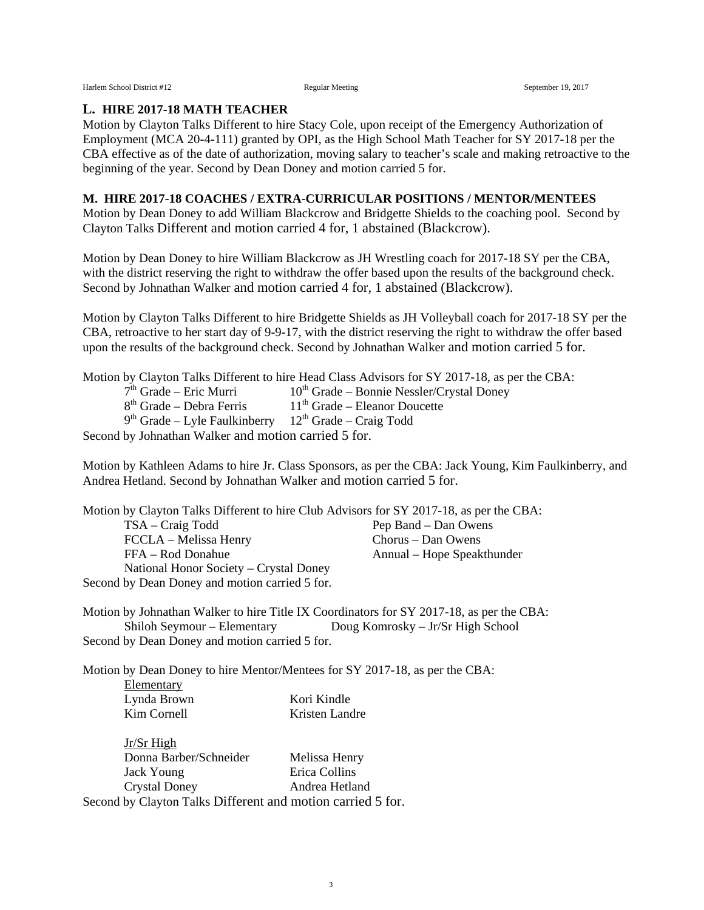#### **L. HIRE 2017-18 MATH TEACHER**

Motion by Clayton Talks Different to hire Stacy Cole, upon receipt of the Emergency Authorization of Employment (MCA 20-4-111) granted by OPI, as the High School Math Teacher for SY 2017-18 per the CBA effective as of the date of authorization, moving salary to teacher's scale and making retroactive to the beginning of the year. Second by Dean Doney and motion carried 5 for.

#### **M. HIRE 2017-18 COACHES / EXTRA-CURRICULAR POSITIONS / MENTOR/MENTEES**

Motion by Dean Doney to add William Blackcrow and Bridgette Shields to the coaching pool. Second by Clayton Talks Different and motion carried 4 for, 1 abstained (Blackcrow).

Motion by Dean Doney to hire William Blackcrow as JH Wrestling coach for 2017-18 SY per the CBA, with the district reserving the right to withdraw the offer based upon the results of the background check. Second by Johnathan Walker and motion carried 4 for, 1 abstained (Blackcrow).

Motion by Clayton Talks Different to hire Bridgette Shields as JH Volleyball coach for 2017-18 SY per the CBA, retroactive to her start day of 9-9-17, with the district reserving the right to withdraw the offer based upon the results of the background check. Second by Johnathan Walker and motion carried 5 for.

|                                                                     | Motion by Clayton Talks Different to hire Head Class Advisors for SY 2017-18, as per the CBA: |  |
|---------------------------------------------------------------------|-----------------------------------------------------------------------------------------------|--|
| $7th$ Grade – Eric Murri                                            | $10th$ Grade – Bonnie Nessler/Crystal Doney                                                   |  |
| $8th$ Grade – Debra Ferris                                          | $11th$ Grade – Eleanor Doucette                                                               |  |
| $9th$ Grade – Lyle Faulkinberry 12 <sup>th</sup> Grade – Craig Todd |                                                                                               |  |
| Second by Johnathan Walker and motion carried 5 for.                |                                                                                               |  |

Motion by Kathleen Adams to hire Jr. Class Sponsors, as per the CBA: Jack Young, Kim Faulkinberry, and Andrea Hetland. Second by Johnathan Walker and motion carried 5 for.

Motion by Clayton Talks Different to hire Club Advisors for SY 2017-18, as per the CBA: TSA – Craig Todd Pep Band – Dan Owens FCCLA – Melissa Henry Chorus – Dan Owens FFA – Rod Donahue Annual – Hope Speakthunder National Honor Society – Crystal Doney Second by Dean Doney and motion carried 5 for.

Motion by Johnathan Walker to hire Title IX Coordinators for SY 2017-18, as per the CBA: Shiloh Seymour – Elementary Doug Komrosky – Jr/Sr High School Second by Dean Doney and motion carried 5 for.

Motion by Dean Doney to hire Mentor/Mentees for SY 2017-18, as per the CBA: Elementary Lynda Brown Kori Kindle Kim Cornell Kristen Landre

Jr/Sr High Donna Barber/Schneider Melissa Henry Jack Young Erica Collins Crystal Doney Andrea Hetland Second by Clayton Talks Different and motion carried 5 for.